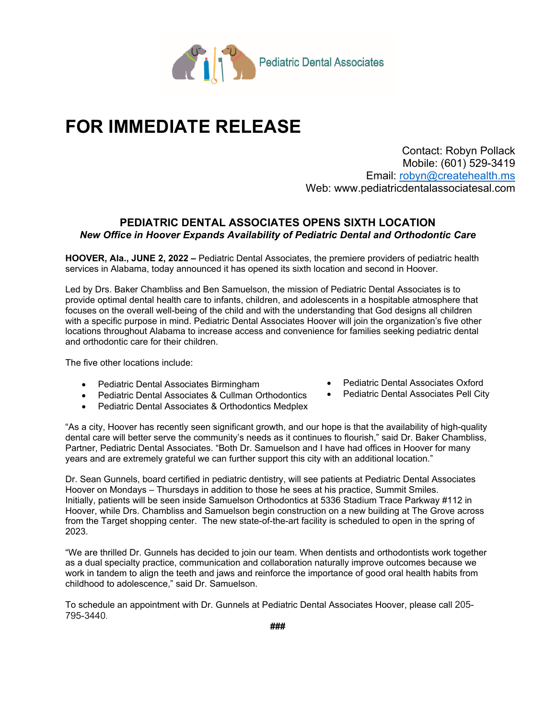

## **FOR IMMEDIATE RELEASE**

Contact: Robyn Pollack Mobile: (601) 529-3419 Email: robyn@createhealth.ms Web: www.pediatricdentalassociatesal.com

## **PEDIATRIC DENTAL ASSOCIATES OPENS SIXTH LOCATION**  *New Office in Hoover Expands Availability of Pediatric Dental and Orthodontic Care*

**HOOVER, Ala., JUNE 2, 2022 –** Pediatric Dental Associates, the premiere providers of pediatric health services in Alabama, today announced it has opened its sixth location and second in Hoover.

Led by Drs. Baker Chambliss and Ben Samuelson, the mission of Pediatric Dental Associates is to provide optimal dental health care to infants, children, and adolescents in a hospitable atmosphere that focuses on the overall well-being of the child and with the understanding that God designs all children with a specific purpose in mind. Pediatric Dental Associates Hoover will join the organization's five other locations throughout Alabama to increase access and convenience for families seeking pediatric dental and orthodontic care for their children.

The five other locations include:

- Pediatric Dental Associates Birmingham
- Pediatric Dental Associates & Cullman Orthodontics
- Pediatric Dental Associates & Orthodontics Medplex
- Pediatric Dental Associates Oxford
- Pediatric Dental Associates Pell City

"As a city, Hoover has recently seen significant growth, and our hope is that the availability of high-quality dental care will better serve the community's needs as it continues to flourish," said Dr. Baker Chambliss, Partner, Pediatric Dental Associates. "Both Dr. Samuelson and I have had offices in Hoover for many years and are extremely grateful we can further support this city with an additional location."

Dr. Sean Gunnels, board certified in pediatric dentistry, will see patients at Pediatric Dental Associates Hoover on Mondays – Thursdays in addition to those he sees at his practice, Summit Smiles. Initially, patients will be seen inside Samuelson Orthodontics at 5336 Stadium Trace Parkway #112 in Hoover, while Drs. Chambliss and Samuelson begin construction on a new building at The Grove across from the Target shopping center. The new state-of-the-art facility is scheduled to open in the spring of 2023.

"We are thrilled Dr. Gunnels has decided to join our team. When dentists and orthodontists work together as a dual specialty practice, communication and collaboration naturally improve outcomes because we work in tandem to align the teeth and jaws and reinforce the importance of good oral health habits from childhood to adolescence," said Dr. Samuelson.

To schedule an appointment with Dr. Gunnels at Pediatric Dental Associates Hoover, please call 205- 795-3440.